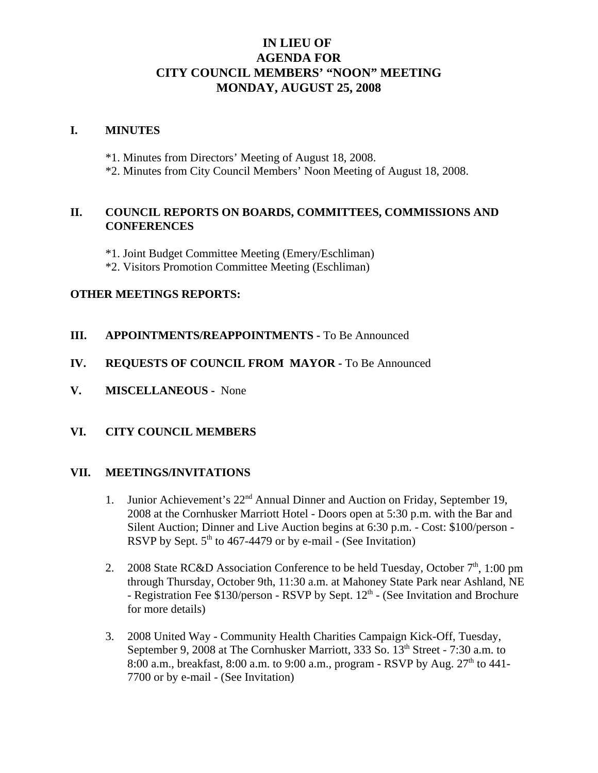# **IN LIEU OF AGENDA FOR CITY COUNCIL MEMBERS' "NOON" MEETING MONDAY, AUGUST 25, 2008**

#### **I. MINUTES**

- \*1. Minutes from Directors' Meeting of August 18, 2008.
- \*2. Minutes from City Council Members' Noon Meeting of August 18, 2008.

## **II. COUNCIL REPORTS ON BOARDS, COMMITTEES, COMMISSIONS AND CONFERENCES**

- \*1. Joint Budget Committee Meeting (Emery/Eschliman)
- \*2. Visitors Promotion Committee Meeting (Eschliman)

#### **OTHER MEETINGS REPORTS:**

**III.** APPOINTMENTS/REAPPOINTMENTS - To Be Announced

### **IV. REQUESTS OF COUNCIL FROM MAYOR -** To Be Announced

**V. MISCELLANEOUS -** None

# **VI. CITY COUNCIL MEMBERS**

#### **VII. MEETINGS/INVITATIONS**

- 1. Junior Achievement's 22<sup>nd</sup> Annual Dinner and Auction on Friday, September 19, 2008 at the Cornhusker Marriott Hotel - Doors open at 5:30 p.m. with the Bar and Silent Auction; Dinner and Live Auction begins at 6:30 p.m. - Cost: \$100/person - RSVP by Sept.  $5<sup>th</sup>$  to 467-4479 or by e-mail - (See Invitation)
- 2. 2008 State RC&D Association Conference to be held Tuesday, October  $7<sup>th</sup>$ , 1:00 pm through Thursday, October 9th, 11:30 a.m. at Mahoney State Park near Ashland, NE - Registration Fee \$130/person - RSVP by Sept. 12<sup>th</sup> - (See Invitation and Brochure for more details)
- 3. 2008 United Way Community Health Charities Campaign Kick-Off, Tuesday, September 9, 2008 at The Cornhusker Marriott, 333 So.  $13<sup>th</sup>$  Street - 7:30 a.m. to 8:00 a.m., breakfast, 8:00 a.m. to 9:00 a.m., program - RSVP by Aug.  $27<sup>th</sup>$  to 441-7700 or by e-mail - (See Invitation)